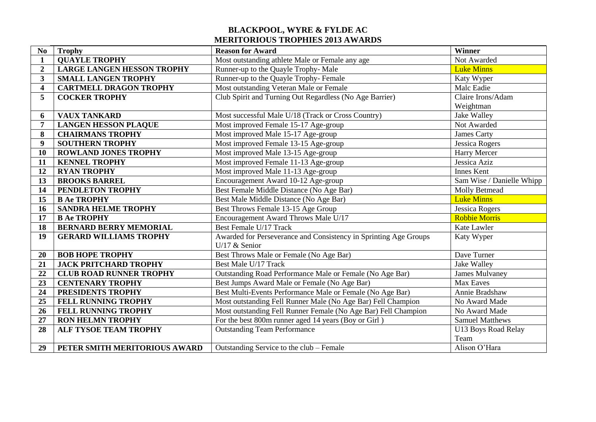## **BLACKPOOL, WYRE & FYLDE AC MERITORIOUS TROPHIES 2013 AWARDS**

| N <sub>0</sub>          | <b>Trophy</b>                     | <b>Reason for Award</b>                                          | Winner                    |
|-------------------------|-----------------------------------|------------------------------------------------------------------|---------------------------|
| 1                       | <b>QUAYLE TROPHY</b>              | Most outstanding athlete Male or Female any age                  | Not Awarded               |
| $\overline{2}$          | <b>LARGE LANGEN HESSON TROPHY</b> | Runner-up to the Quayle Trophy-Male                              | <b>Luke Minns</b>         |
| $\overline{\mathbf{3}}$ | <b>SMALL LANGEN TROPHY</b>        | Runner-up to the Quayle Trophy- Female                           | Katy Wyper                |
| $\overline{\mathbf{4}}$ | <b>CARTMELL DRAGON TROPHY</b>     | Most outstanding Veteran Male or Female                          | Malc Eadie                |
| 5                       | <b>COCKER TROPHY</b>              | Club Spirit and Turning Out Regardless (No Age Barrier)          | Claire Irons/Adam         |
|                         |                                   |                                                                  | Weightman                 |
| 6                       | <b>VAUX TANKARD</b>               | Most successful Male U/18 (Track or Cross Country)               | Jake Walley               |
| $\overline{7}$          | <b>LANGEN HESSON PLAQUE</b>       | Most improved Female 15-17 Age-group                             | Not Awarded               |
| 8                       | <b>CHAIRMANS TROPHY</b>           | Most improved Male 15-17 Age-group                               | James Carty               |
| 9                       | <b>SOUTHERN TROPHY</b>            | Most improved Female 13-15 Age-group                             | <b>Jessica Rogers</b>     |
| 10                      | <b>ROWLAND JONES TROPHY</b>       | Most improved Male 13-15 Age-group                               | Harry Mercer              |
| 11                      | <b>KENNEL TROPHY</b>              | Most improved Female 11-13 Age-group                             | Jessica Aziz              |
| 12                      | <b>RYAN TROPHY</b>                | Most improved Male 11-13 Age-group                               | <b>Innes Kent</b>         |
| 13                      | <b>BROOKS BARREL</b>              | Encouragement Award 10-12 Age-group                              | Sam Wise / Danielle Whipp |
| 14                      | PENDLETON TROPHY                  | Best Female Middle Distance (No Age Bar)                         | Molly Betmead             |
| 15                      | <b>B Ae TROPHY</b>                | Best Male Middle Distance (No Age Bar)                           | <b>Luke Minns</b>         |
| 16                      | <b>SANDRA HELME TROPHY</b>        | Best Throws Female 13-15 Age Group                               | Jessica Rogers            |
| 17                      | <b>B Ae TROPHY</b>                | Encouragement Award Throws Male U/17                             | <b>Robbie Morris</b>      |
| 18                      | <b>BERNARD BERRY MEMORIAL</b>     | Best Female U/17 Track                                           | Kate Lawler               |
| 19                      | <b>GERARD WILLIAMS TROPHY</b>     | Awarded for Perseverance and Consistency in Sprinting Age Groups | Katy Wyper                |
|                         |                                   | U/17 $&$ Senior                                                  |                           |
| 20                      | <b>BOB HOPE TROPHY</b>            | Best Throws Male or Female (No Age Bar)                          | Dave Turner               |
| 21                      | <b>JACK PRITCHARD TROPHY</b>      | Best Male U/17 Track                                             | Jake Walley               |
| 22                      | <b>CLUB ROAD RUNNER TROPHY</b>    | Outstanding Road Performance Male or Female (No Age Bar)         | <b>James Mulvaney</b>     |
| 23                      | <b>CENTENARY TROPHY</b>           | Best Jumps Award Male or Female (No Age Bar)                     | Max Eaves                 |
| 24                      | PRESIDENTS TROPHY                 | Best Multi-Events Performance Male or Female (No Age Bar)        | Annie Bradshaw            |
| 25                      | <b>FELL RUNNING TROPHY</b>        | Most outstanding Fell Runner Male (No Age Bar) Fell Champion     | No Award Made             |
| 26                      | FELL RUNNING TROPHY               | Most outstanding Fell Runner Female (No Age Bar) Fell Champion   | No Award Made             |
| 27                      | <b>RON HELMN TROPHY</b>           | For the best 800m runner aged 14 years (Boy or Girl)             | <b>Samuel Matthews</b>    |
| 28                      | <b>ALF TYSOE TEAM TROPHY</b>      | <b>Outstanding Team Performance</b>                              | U13 Boys Road Relay       |
|                         |                                   |                                                                  | Team                      |
| 29                      | PETER SMITH MERITORIOUS AWARD     | Outstanding Service to the club - Female                         | Alison O'Hara             |